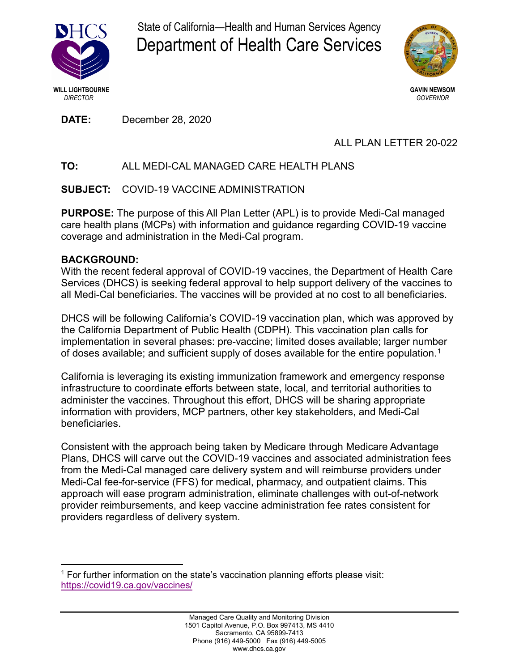

State of California—Health and Human Services Agency Department of Health Care Services



**DATE:** December 28, 2020

# ALL PLAN LETTER 20-022

# **TO:** ALL MEDI-CAL MANAGED CARE HEALTH PLANS

**SUBJECT:** COVID-19 VACCINE ADMINISTRATION

**PURPOSE:** The purpose of this All Plan Letter (APL) is to provide Medi-Cal managed care health plans (MCPs) with information and guidance regarding COVID-19 vaccine coverage and administration in the Medi-Cal program.

# **BACKGROUND:**

With the recent federal approval of COVID-19 vaccines, the Department of Health Care Services (DHCS) is seeking federal approval to help support delivery of the vaccines to all Medi-Cal beneficiaries. The vaccines will be provided at no cost to all beneficiaries.

DHCS will be following California's COVID-19 vaccination plan, which was approved by the California Department of Public Health (CDPH). This vaccination plan calls for implementation in several phases: pre-vaccine; limited doses available; larger number of doses available; and sufficient supply of doses available for the entire population.<sup>[1](#page-0-0)</sup>

California is leveraging its existing immunization framework and emergency response infrastructure to coordinate efforts between state, local, and territorial authorities to administer the vaccines. Throughout this effort, DHCS will be sharing appropriate information with providers, MCP partners, other key stakeholders, and Medi-Cal beneficiaries.

Consistent with the approach being taken by Medicare through Medicare Advantage Plans, DHCS will carve out the COVID-19 vaccines and associated administration fees from the Medi-Cal managed care delivery system and will reimburse providers under Medi-Cal fee-for-service (FFS) for medical, pharmacy, and outpatient claims. This approach will ease program administration, eliminate challenges with out-of-network provider reimbursements, and keep vaccine administration fee rates consistent for providers regardless of delivery system.

<span id="page-0-0"></span> $\overline{a}$ <sup>1</sup> For further information on the state's vaccination planning efforts please visit: <https://covid19.ca.gov/vaccines/>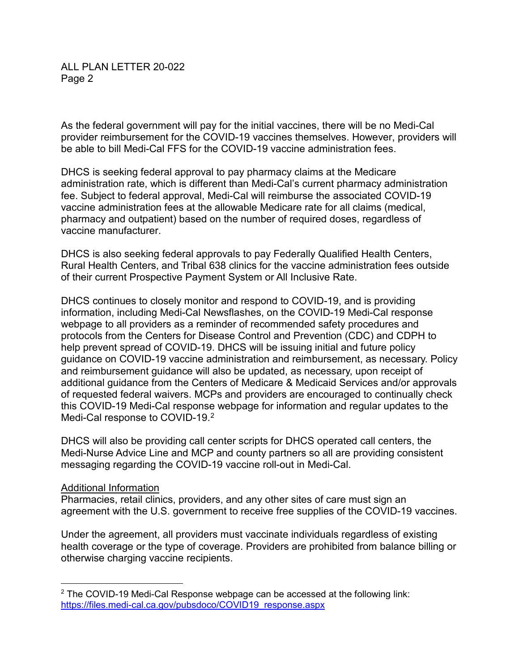As the federal government will pay for the initial vaccines, there will be no Medi-Cal provider reimbursement for the COVID-19 vaccines themselves. However, providers will be able to bill Medi-Cal FFS for the COVID-19 vaccine administration fees.

DHCS is seeking federal approval to pay pharmacy claims at the Medicare administration rate, which is different than Medi-Cal's current pharmacy administration fee. Subject to federal approval, Medi-Cal will reimburse the associated COVID-19 vaccine administration fees at the allowable Medicare rate for all claims (medical, pharmacy and outpatient) based on the number of required doses, regardless of vaccine manufacturer.

DHCS is also seeking federal approvals to pay Federally Qualified Health Centers, Rural Health Centers, and Tribal 638 clinics for the vaccine administration fees outside of their current Prospective Payment System or All Inclusive Rate.

DHCS continues to closely monitor and respond to COVID-19, and is providing information, including Medi-Cal Newsflashes, on the COVID-19 Medi-Cal response webpage to all providers as a reminder of recommended safety procedures and protocols from the Centers for Disease Control and Prevention (CDC) and CDPH to help prevent spread of COVID-19. DHCS will be issuing initial and future policy guidance on COVID-19 vaccine administration and reimbursement, as necessary. Policy and reimbursement guidance will also be updated, as necessary, upon receipt of additional guidance from the Centers of Medicare & Medicaid Services and/or approvals of requested federal waivers. MCPs and providers are encouraged to continually check this COVID-19 Medi-Cal response webpage for information and regular updates to the Medi-Cal response to COVID-19. [2](#page-1-0)

DHCS will also be providing call center scripts for DHCS operated call centers, the Medi-Nurse Advice Line and MCP and county partners so all are providing consistent messaging regarding the COVID-19 vaccine roll-out in Medi-Cal.

#### Additional Information

 $\overline{a}$ 

Pharmacies, retail clinics, providers, and any other sites of care must sign an agreement with the U.S. government to receive free supplies of the COVID-19 vaccines.

Under the agreement, all providers must vaccinate individuals regardless of existing health coverage or the type of coverage. Providers are prohibited from balance billing or otherwise charging vaccine recipients.

<span id="page-1-0"></span> $2$  The COVID-19 Medi-Cal Response webpage can be accessed at the following link: [https://files.medi-cal.ca.gov/pubsdoco/COVID19\\_response.aspx](https://files.medi-cal.ca.gov/pubsdoco/COVID19_response.aspx)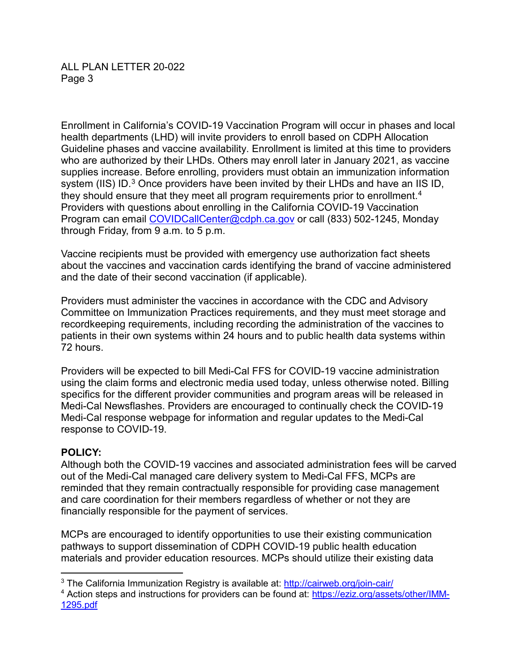Enrollment in California's COVID-19 Vaccination Program will occur in phases and local health departments (LHD) will invite providers to enroll based on CDPH Allocation Guideline phases and vaccine availability. Enrollment is limited at this time to providers who are authorized by their LHDs. Others may enroll later in January 2021, as vaccine supplies increase. Before enrolling, providers must obtain an immunization information system (IIS) ID. $^3$  $^3$  Once providers have been invited by their LHDs and have an IIS ID, they should ensure that they meet all program requirements prior to enrollment. $\rm ^4$  $\rm ^4$ Providers with questions about enrolling in the California COVID-19 Vaccination Program can email [COVIDCallCenter@cdph.ca.gov](mailto:COVIDCallCenter@cdph.ca.gov) or call (833) 502-1245, Monday through Friday, from 9 a.m. to 5 p.m.

Vaccine recipients must be provided with emergency use authorization fact sheets about the vaccines and vaccination cards identifying the brand of vaccine administered and the date of their second vaccination (if applicable).

Providers must administer the vaccines in accordance with the CDC and Advisory Committee on Immunization Practices requirements, and they must meet storage and recordkeeping requirements, including recording the administration of the vaccines to patients in their own systems within 24 hours and to public health data systems within 72 hours.

Providers will be expected to bill Medi-Cal FFS for COVID-19 vaccine administration using the claim forms and electronic media used today, unless otherwise noted. Billing specifics for the different provider communities and program areas will be released in Medi-Cal Newsflashes. Providers are encouraged to continually check the COVID-19 Medi-Cal response webpage for information and regular updates to the Medi-Cal response to COVID-19.

# **POLICY:**

Although both the COVID-19 vaccines and associated administration fees will be carved out of the Medi-Cal managed care delivery system to Medi-Cal FFS, MCPs are reminded that they remain contractually responsible for providing case management and care coordination for their members regardless of whether or not they are financially responsible for the payment of services.

MCPs are encouraged to identify opportunities to use their existing communication pathways to support dissemination of CDPH COVID-19 public health education materials and provider education resources. MCPs should utilize their existing data

<span id="page-2-0"></span> $\overline{a}$ <sup>3</sup> The California Immunization Registry is available at:<http://cairweb.org/join-cair/>

<span id="page-2-1"></span><sup>4</sup> Action steps and instructions for providers can be found at: [https://eziz.org/assets/other/IMM-](https://eziz.org/assets/other/IMM-1295.pdf)[1295.pdf](https://eziz.org/assets/other/IMM-1295.pdf)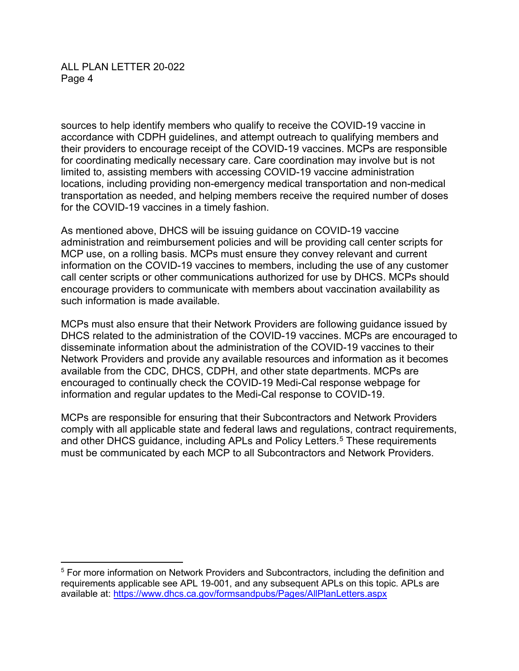sources to help identify members who qualify to receive the COVID-19 vaccine in accordance with CDPH guidelines, and attempt outreach to qualifying members and their providers to encourage receipt of the COVID-19 vaccines. MCPs are responsible for coordinating medically necessary care. Care coordination may involve but is not limited to, assisting members with accessing COVID-19 vaccine administration locations, including providing non-emergency medical transportation and non-medical transportation as needed, and helping members receive the required number of doses for the COVID-19 vaccines in a timely fashion.

As mentioned above, DHCS will be issuing guidance on COVID-19 vaccine administration and reimbursement policies and will be providing call center scripts for MCP use, on a rolling basis. MCPs must ensure they convey relevant and current information on the COVID-19 vaccines to members, including the use of any customer call center scripts or other communications authorized for use by DHCS. MCPs should encourage providers to communicate with members about vaccination availability as such information is made available.

MCPs must also ensure that their Network Providers are following guidance issued by DHCS related to the administration of the COVID-19 vaccines. MCPs are encouraged to disseminate information about the administration of the COVID-19 vaccines to their Network Providers and provide any available resources and information as it becomes available from the CDC, DHCS, CDPH, and other state departments. MCPs are encouraged to continually check the COVID-19 Medi-Cal response webpage for information and regular updates to the Medi-Cal response to COVID-19.

MCPs are responsible for ensuring that their Subcontractors and Network Providers comply with all applicable state and federal laws and regulations, contract requirements, and other DHCS guidance, including APLs and Policy Letters.<sup>[5](#page-3-0)</sup> These requirements must be communicated by each MCP to all Subcontractors and Network Providers.

<span id="page-3-0"></span> $\overline{a}$ <sup>5</sup> For more information on Network Providers and Subcontractors, including the definition and requirements applicable see APL 19-001, and any subsequent APLs on this topic. APLs are available at:<https://www.dhcs.ca.gov/formsandpubs/Pages/AllPlanLetters.aspx>